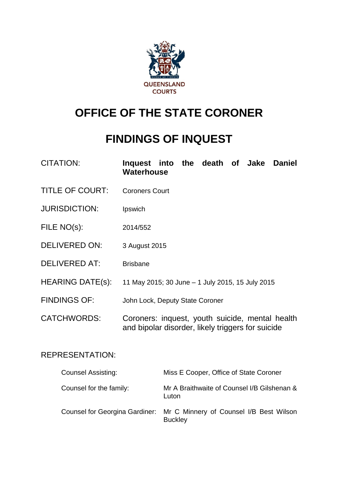

## **OFFICE OF THE STATE CORONER**

## **FINDINGS OF INQUEST**

| <b>CITATION:</b> | Inquest into the death of Jake Daniel |  |  |  |  |  |  |
|------------------|---------------------------------------|--|--|--|--|--|--|
|                  | Waterhouse                            |  |  |  |  |  |  |

- TITLE OF COURT: Coroners Court
- JURISDICTION: Ipswich
- FILE NO(s): 2014/552
- DELIVERED ON: 3 August 2015
- DELIVERED AT: Brisbane
- HEARING DATE(s): 11 May 2015; 30 June 1 July 2015, 15 July 2015
- FINDINGS OF: John Lock, Deputy State Coroner
- CATCHWORDS: Coroners: inquest, youth suicide, mental health and bipolar disorder, likely triggers for suicide

## REPRESENTATION:

| <b>Counsel Assisting:</b> | Miss E Cooper, Office of State Coroner                                                   |
|---------------------------|------------------------------------------------------------------------------------------|
| Counsel for the family:   | Mr A Braithwaite of Counsel I/B Gilshenan &<br>Luton                                     |
|                           | Counsel for Georgina Gardiner: Mr C Minnery of Counsel I/B Best Wilson<br><b>Buckley</b> |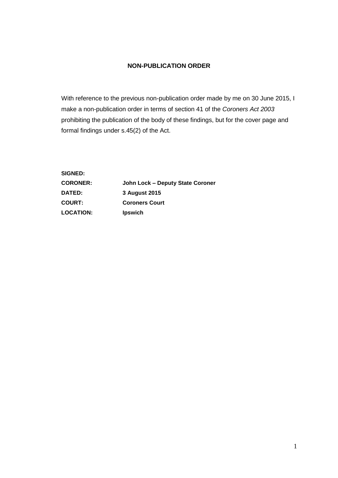## **NON-PUBLICATION ORDER**

With reference to the previous non-publication order made by me on 30 June 2015, I make a non-publication order in terms of section 41 of the *Coroners Act 2003* prohibiting the publication of the body of these findings, but for the cover page and formal findings under s.45(2) of the Act.

**SIGNED: CORONER: John Lock – Deputy State Coroner DATED: 3 August 2015 COURT: Coroners Court LOCATION: Ipswich**